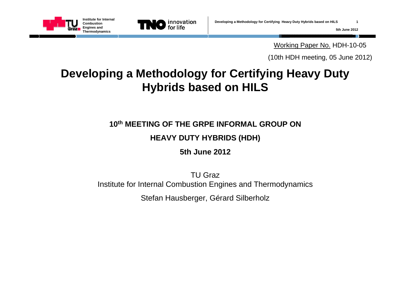



Working Paper No. HDH-10-05

(10th HDH meeting, 05 June 2012)

## **Developing a Methodology for Certifying Heavy Duty Hybrids based on HILS**

**10th MEETING OF THE GRPE INFORMAL GROUP ON**

#### **HEAVY DUTY HYBRIDS (HDH)**

**5th June 2012**

TU GrazInstitute for Internal Combustion Engines and Thermodynamics

Stefan Hausberger, Gérard Silberholz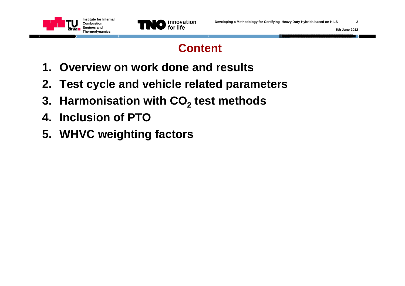



### **Content**

- **1. Overview on work done and results**
- **2. Test cycle and vehicle related parameters**
- **3. Harmonisation with CO 2 test methods**
- **4. Inclusion of PTO**
- **5. WHVC weighting factors**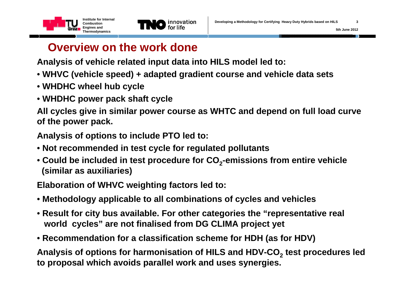



## **Overview on the work done**

**Analysis of vehicle related input data into HILS model led to:**

- **WHVC (vehicle speed) + adapted gradient course and vehicle data sets**
- **WHDHC wheel hub cycle**
- **WHDHC power pack shaft cycle**

**All cycles give in similar power course as WHTC and depend on full load curve of the power pack.**

**Analysis of options to include PTO led to:**

- **Not recommended in test cycle for regulated pollutants**
- **Could be included in test procedure for CO <sup>2</sup>-emissions from entire vehicle (similar as auxiliaries)**

**Elaboration of WHVC weighting factors led to:** 

- **Methodology applicable to all combinations of cycles and vehicles**
- **Result for city bus available. For other categories the "representative real world cycles" are not finalised from DG CLIMA project yet**
- **Recommendation for a classification scheme for HDH (as for HDV)**

**Analysis of options for harmonisation of HILS and HDV-CO 2 test procedures led to proposal which avoids parallel work and uses synergies.**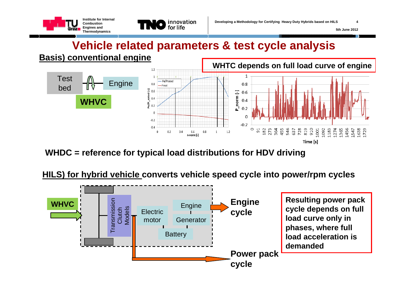

### **Vehicle related parameters & test cycle analysis**



**WHDC = reference for typical load distributions for HDV driving**

#### **HILS) for hybrid vehicle converts vehicle speed cycle into power/rpm cycles**

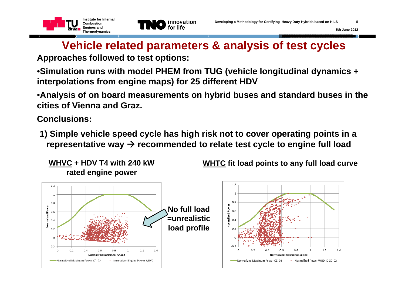



### **Vehicle related parameters & analysis of test cycles**

**Approaches followed to test options:**

•**Simulation runs with model PHEM from TUG (vehicle longitudinal dynamics + interpolations from engine maps) for 25 different HDV**

•**Analysis of on board measurements on hybrid buses and standard buses in the cities of Vienna and Graz.**

**Conclusions:**

**1) Simple vehicle speed cycle has high risk not to cover operating points in a**  representative way  $\bm{\rightarrow}$  recommended to relate test cycle to engine full load



**WHTC fit load points to any full load curve**

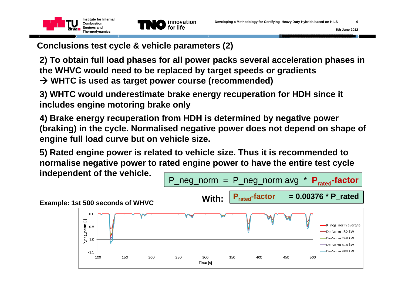



**Conclusions test cycle & vehicle parameters (2)**

**2) To obtain full load phases for all power packs several acceleration phases in the WHVC would need to be replaced by target speeds or gradients WHTC is used as target power course (recommended)**

**3) WHTC would underestimate brake energy recuperation for HDH since it includes engine motoring brake only** 

**4) Brake energy recuperation from HDH is determined by negative power (braking) in the cycle. Normalised negative power does not depend on shape of engine full load curve but on vehicle size.** 

**5) Rated engine power is related to vehicle size. Thus it is recommended to normalise negative power to rated engine power to have the entire test cycle**   $\begin{array}{rcl} \textsf{independent of the vehicle.} \end{array} \hspace{0.25in} \fbox{$\mathsf{P}_{\sf-neg\_norm}$ = $ \mathsf{P}_{\sf-neg\_norm} $ \textsf{avg} $ }^\star \; \mathsf{P}_{\sf rated}\textsf{-factor} \end{array}$ 

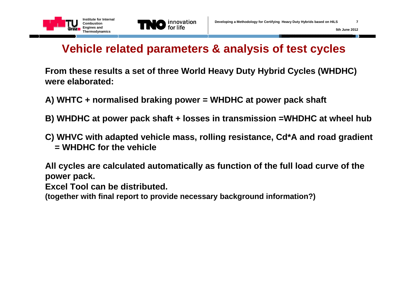



### **Vehicle related parameters & analysis of test cycles**

**From these results a set of three World Heavy Duty Hybrid Cycles (WHDHC) were elaborated:**

- **A) WHTC + normalised braking power = WHDHC at power pack shaft**
- **B) WHDHC at power pack shaft + losses in transmission =WHDHC at wheel hub**
- **C) WHVC with adapted vehicle mass, rolling resistance, Cd\*A and road gradient = WHDHC for the vehicle**

**All cycles are calculated automatically as function of the full load curve of the power pack.** 

**Excel Tool can be distributed.** 

**(together with final report to provide necessary background information?)**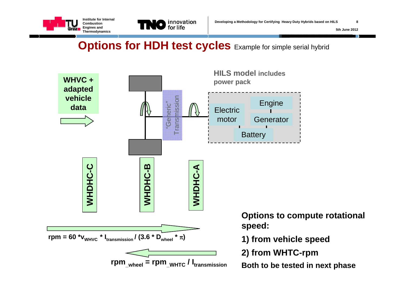



### **Options for HDH test cycles** Example for simple serial hybrid

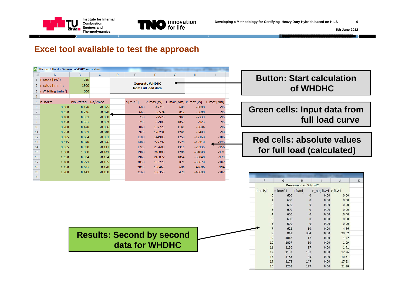



 $\overline{K}$ 

 $0.00$ 

 $0.00$ 

 $0.00$ 

 $0.00$ 

 $0.00$ 

 $0.00$ 

 $0.00$ 

4.96

29.62

 $1.72$ 

1.09

1.91

12.26

 $10.31$ 

17.23

21.18

#### **Excel tool available to test the approach**

| Microsoft Excel - Denorm_WHDHC_norm.xlsm |                                         |           |          |   |                                              |        |      |          |                                           |
|------------------------------------------|-----------------------------------------|-----------|----------|---|----------------------------------------------|--------|------|----------|-------------------------------------------|
|                                          | A                                       | B         | C        | D | E                                            | F      | G    | H        |                                           |
| 1                                        | P rated [kW]:                           | 240       |          |   |                                              |        |      |          |                                           |
| $\overline{2}$                           | n rated ${\rm [min^{-1}]}$ :            | 1900      |          |   | <b>Generate WHDHC</b><br>from Full load data |        |      |          |                                           |
| 3                                        | $n \omega$ idling [min <sup>-1</sup> ]: | 600       |          |   |                                              |        |      |          |                                           |
| 4                                        |                                         |           |          |   |                                              |        |      |          |                                           |
| 5                                        | n norm                                  | Pe/Prated | Pe/Pmot  |   | $n$ [min <sup>-1</sup> ]                     |        |      |          | P max [W] T_max [Nm] P_mot [W] T_mot [Nm] |
| 6                                        | 0.000                                   | 0.178     | $-0.025$ |   | 600                                          | 42713  | 680  | $-6000$  | $-95$                                     |
| $\overline{7}$                           | 0.050                                   | 0.236     | $-0.028$ |   | 665                                          | 56574  | 812  | $-6600$  | $-95$                                     |
| 8                                        | 0.100                                   | 0.302     | $-0.030$ |   | 730                                          | 72526  | 949  | $-7239$  | $-95$                                     |
| 9                                        | 0.150                                   | 0.367     | $-0.033$ |   | 795                                          | 87983  | 1057 | $-7923$  | $-95$                                     |
| 10                                       | 0.200                                   | 0.428     | $-0.036$ |   | 860                                          | 102729 | 1141 | $-8684$  | $-96$                                     |
| 11                                       | 0.250                                   | 0.501     | $-0.040$ |   | 925                                          | 120231 | 1241 | $-9489$  | $-98$                                     |
| 12                                       | 0.385                                   | 0.604     | $-0.051$ |   | 1100                                         | 144906 | 1258 | $-12168$ | $-106$                                    |
| 13                                       | 0.615                                   | 0.928     | $-0.076$ |   | 1400                                         | 222792 | 1520 | $-18318$ | $-125$                                    |
| 14                                       | 0.865                                   | 0.990     | $-0.117$ |   | 1725                                         | 237600 | 1315 | $-28135$ | $-156$                                    |
| 15                                       | 1.000                                   | 1.000     | $-0.142$ |   | 1900                                         | 240000 | 1206 | $-34080$ | $-171$                                    |
| 16                                       | 1.050                                   | 0.904     | $-0.154$ |   | 1965                                         | 216877 | 1054 | $-36840$ | $-179$                                    |
| 17                                       | 1.100                                   | 0.772     | $-0.165$ |   | 2030                                         | 185228 | 871  | $-39678$ | $-187$                                    |
| 18                                       | 1.150                                   | 0.627     | $-0.178$ |   | 2095                                         | 150463 | 686  | $-42606$ | $-194$                                    |
| 19                                       | 1.200                                   | 0.443     | $-0.190$ |   | 2160                                         | 106356 | 470  | $-45600$ | $-202$                                    |
| 20                                       |                                         |           |          |   |                                              |        |      |          |                                           |

#### **Button: Start calculation of WHDHC**

#### **Green cells: Input data from full load curve**

#### **Red cells: absolute values for full load (calculated)**

 $\,$  H

**Denormalized WHDHC** 

 $\mathsf{G}$ 

 $\mathbf{r}$ 

|                                  | time [s] | $n$ [min <sup>-1</sup> ] |      | T[Nm]        | P_neg [kW] P [kW] |  |
|----------------------------------|----------|--------------------------|------|--------------|-------------------|--|
|                                  |          | $\Omega$                 | 600  | $\mathbf{0}$ | 0.00              |  |
|                                  |          |                          | 600  | $\bf{0}$     | 0.00              |  |
|                                  |          |                          | 600  | $\mathbf{0}$ | 0.00              |  |
|                                  |          |                          | 600  | $\mathbf{0}$ | 0.00              |  |
|                                  |          |                          | 600  | $\mathbf 0$  | 0.00              |  |
|                                  |          |                          | 600  | $\mathbf 0$  | 0.00              |  |
|                                  |          |                          | 600  | $\mathbf{0}$ | 0.00              |  |
|                                  |          |                          | 623  | 80           | 0.00              |  |
|                                  |          |                          | 841  | 354          | 0.00              |  |
| <b>Results: Second by second</b> |          | 9                        | 1018 | 17           | 0.00              |  |
|                                  |          | 10                       | 1097 | 10           | 0.00              |  |
| data for WHDHC                   |          | 11                       | 1130 | 17           | 0.00              |  |
|                                  |          | 12                       | 1152 | 107          | 0.00              |  |
|                                  |          | 13                       | 1165 | 89           | 0.00              |  |
|                                  |          | 14                       | 1178 | 147          | 0.00              |  |
|                                  |          | 15                       | 1203 | 177          | 0.00              |  |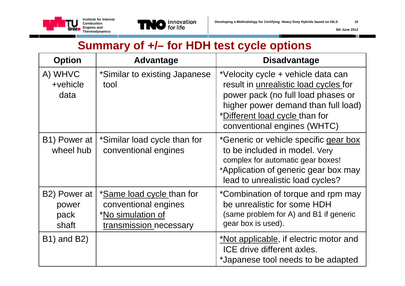



### **Summary of +/– for HDH test cycle options**

| <b>Option</b>                                       | <b>Advantage</b>                                                                                 | <b>Disadvantage</b>                                                                                                                                                                                                       |  |  |
|-----------------------------------------------------|--------------------------------------------------------------------------------------------------|---------------------------------------------------------------------------------------------------------------------------------------------------------------------------------------------------------------------------|--|--|
| A) WHVC<br>+vehicle<br>data                         | *Similar to existing Japanese<br>tool                                                            | *Velocity cycle + vehicle data can<br>result in unrealistic load cycles for<br>power pack (no full load phases or<br>higher power demand than full load)<br>*Different load cycle than for<br>conventional engines (WHTC) |  |  |
| B1) Power at<br>wheel hub                           | *Similar load cycle than for<br>conventional engines                                             | *Generic or vehicle specific gear box<br>to be included in model. Very<br>complex for automatic gear boxes!<br>*Application of generic gear box may<br>lead to unrealistic load cycles?                                   |  |  |
| B <sub>2</sub> ) Power at<br>power<br>pack<br>shaft | *Same load cycle than for<br>conventional engines<br>*No simulation of<br>transmission necessary | *Combination of torque and rpm may<br>be unrealistic for some HDH<br>(same problem for A) and B1 if generic<br>gear box is used).                                                                                         |  |  |
| <b>B1)</b> and <b>B2</b> )                          |                                                                                                  | <u>*Not applicable</u> , if electric motor and<br>ICE drive different axles.<br>*Japanese tool needs to be adapted                                                                                                        |  |  |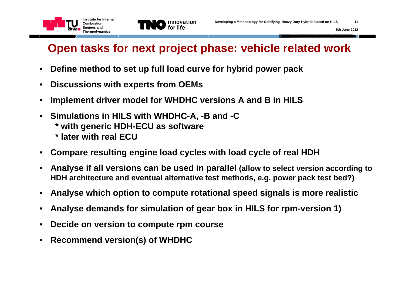

### **Open tasks for next project phase: vehicle related work**

- •**Define method to set up full load curve for hybrid power pack**
- •**Discussions with experts from OEMs**
- •**Implement driver model for WHDHC versions A and B in HILS**
- **Simulations in HILS with WHDHC-A, -B and -C** 
	- **\* with generic HDH-ECU as software**
	- **\* later with real ECU**
- **Compare resulting engine load cycles with load cycle of real HDH**
- $\bullet$  **Analyse if all versions can be used in parallel (allow to select version according to HDH architecture and eventual alternative test methods, e.g. power pack test bed?)**
- $\bullet$ **Analyse which option to compute rotational speed signals is more realistic**
- $\bullet$ **Analyse demands for simulation of gear box in HILS for rpm-version 1)**
- $\bullet$ **Decide on version to compute rpm course**
- •**Recommend version(s) of WHDHC**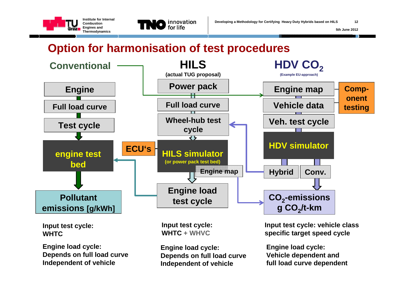



### **Option for harmonisation of test procedures**



**Engine load cycle: Depends on full load curve Independent of vehicle** 

**Engine load cycle: Depends on full load curve Independent of vehicle** 

**Engine load cycle: Vehicle dependent and full load curve dependent**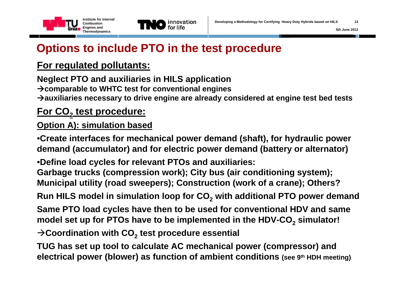



### **Options to include PTO in the test procedure**

### **For regulated pollutants:**

**Neglect PTO and auxiliaries in HILS application comparable to WHTC test for conventional engines**  $\rightarrow$  auxiliaries necessary to drive engine are already considered at engine test bed tests

### **For CO 2 test procedure:**

### **Option A): simulation based**

•**Create interfaces for mechanical power demand (shaft), for hydraulic power demand (accumulator) and for electric power demand (battery or alternator)**

•**Define load cycles for relevant PTOs and auxiliaries: Garbage trucks (compression work); City bus (air conditioning system); Municipal utility (road sweepers); Construction (work of a crane); Others?**

**Run HILS model in simulation loop for CO 2 with additional PTO power demand**

**Same PTO load cycles have then to be used for conventional HDV and same model set up for PTOs have to be implemented in the HDV-CO 2 simulator!**

 $\rightarrow$ Coordination with CO<sub>2</sub> test procedure essential

**TUG has set up tool to calculate AC mechanical power (compressor) and electrical power (blower) as function of ambient conditions (see 9th HDH meeting)**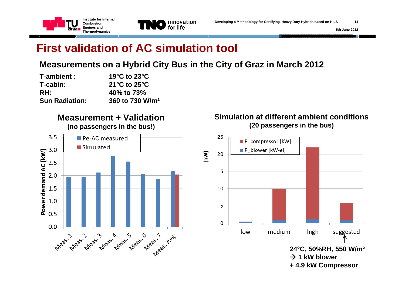

### **First validation of AC simulation tool**

#### **Measurements on a Hybrid City Bus in the City of Graz in March 2012**

| T-ambient :           | 19 $^{\circ}$ C to 23 $^{\circ}$ C |  |  |
|-----------------------|------------------------------------|--|--|
| T-cabin:              | 21 $\degree$ C to 25 $\degree$ C   |  |  |
| RH:                   | 40% to 73%                         |  |  |
| <b>Sun Radiation:</b> | 360 to 730 W/m <sup>2</sup>        |  |  |

#### **Measurement + Validation**





**Simulation at different ambient conditions(20 passengers in the bus)**

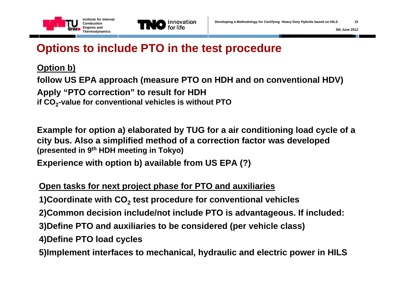



### **Options to include PTO in the test procedure**

**Option b)** 

**follow US EPA approach (measure PTO on HDH and on conventional HDV) Apply "PTO correction" to result for HDH if CO <sup>2</sup>-value for conventional vehicles is without PTO** 

**Example for option a) elaborated by TUG for a air conditioning load cycle of a city bus. Also a simplified method of a correction factor was developed (presented in 9th HDH meeting in Tokyo)**

**Experience with option b) available from US EPA (?)**

#### **Open tasks for next project phase for PTO and auxiliaries**

**1)Coordinate with CO 2 test procedure for conventional vehicles** 

**2)Common decision include/not include PTO is advantageous. If included:**

**3)Define PTO and auxiliaries to be considered (per vehicle class)**

**4)Define PTO load cycles**

**5)Implement interfaces to mechanical, hydraulic and electric power in HILS**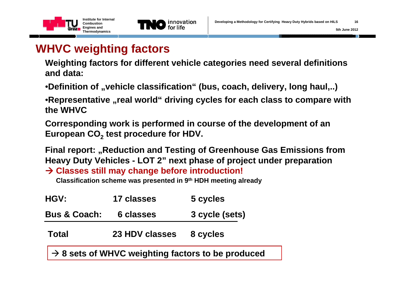



### **WHVC weighting factors**

**Weighting factors for different vehicle categories need several definitions and data:**

•**Definition of "vehicle classification"** (bus, coach, delivery, long haul,..)

•**Representative "real world" driving cycles for each class to compare with the WHVC**

**Corresponding work is performed in course of the development of an European CO 2 test procedure for HDV.**

**Final report: "Reduction and Testing of Greenhouse Gas Emissions from Heavy Duty Vehicles - LOT 2" next phase of project under preparation**

**Classes still may change before introduction!**

**Classification scheme was presented in 9th HDH meeting already**

| <b>HGV:</b>             | 17 classes     | 5 cycles                                                            |
|-------------------------|----------------|---------------------------------------------------------------------|
| <b>Bus &amp; Coach:</b> | 6 classes      | 3 cycle (sets)                                                      |
| Total                   | 23 HDV classes | 8 cycles                                                            |
|                         |                | $\vert \rightarrow 8$ sets of WHVC weighting factors to be produced |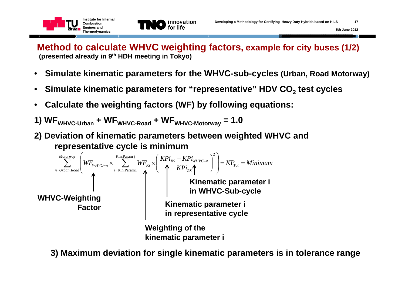

**Method to calculate WHVC weighting factors, example for city buses (1/2) (presented already in 9th HDH meeting in Tokyo)**

- $\bullet$ **Simulate kinematic parameters for the WHVC-sub-cycles (Urban, Road Motorway)**
- •**Simulate kinematic parameters for "representative" HDV CO 2 test cycles**
- •**Calculate the weighting factors (WF) by following equations:**
- **1) WFWHVC-Urban + WFWHVC-Road + WFWHVC-Motorway = 1.0**
- **2) Deviation of kinematic parameters between weighted WHVC and representative cycle is minimum**



**3) Maximum deviation for single kinematic parameters is in tolerance range**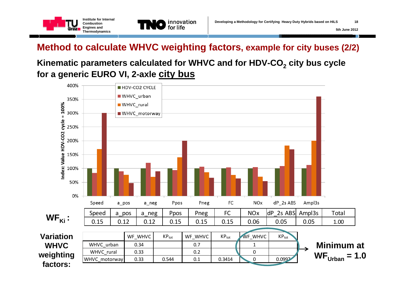

### **Method to calculate WHVC weighting factors, example for city buses (2/2)**

### **Kinematic parameters calculated for WHVC and for HDV-CO 2 city bus cycle for a generic EURO VI, 2-axle city bus**

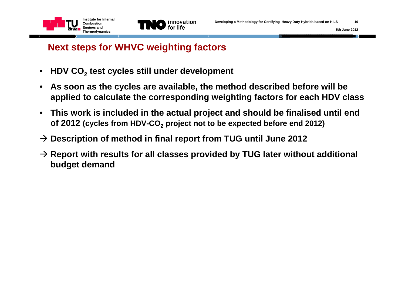



### **Next steps for WHVC weighting factors**

- •**HDV CO 2 test cycles still under development**
- $\bullet$  **As soon as the cycles are available, the method described before will be applied to calculate the corresponding weighting factors for each HDV class**
- **This work is included in the actual project and should be finalised until end of 2012 (cycles from HDV-CO 2 project not to be expected before end 2012)**
- **Description of method in final report from TUG until June 2012**
- **Report with results for all classes provided by TUG later without additional budget demand**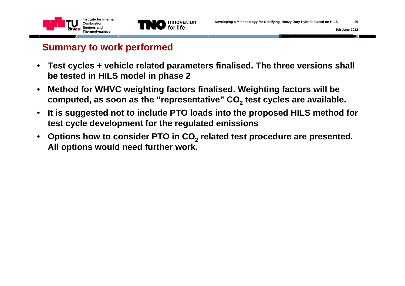



#### **Summary to work performed**

- **Test cycles + vehicle related parameters finalised. The three versions shall be tested in HILS model in phase 2**
- • **Method for WHVC weighting factors finalised. Weighting factors will be computed, as soon as the "representative" CO 2 test cycles are available.**
- $\bullet$  **It is suggested not to include PTO loads into the proposed HILS method for test cycle development for the regulated emissions**
- $\bullet$  **Options how to consider PTO in CO 2 related test procedure are presented. All options would need further work.**